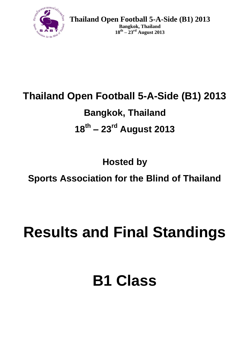

**Bangkok, Thailand 18th – 23rd August 2013**

# **Thailand Open Football 5-A-Side (B1) 2013**

## **Bangkok, Thailand**

# **18th – 23rd August 2013**

**Hosted by**

## **Sports Association for the Blind of Thailand**

# **Results and Final Standings**

# **B1 Class**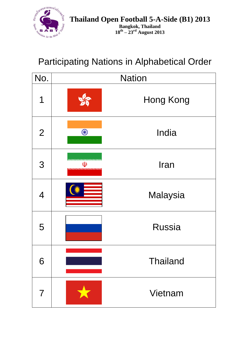

### Participating Nations in Alphabetical Order

| No.            | <b>Nation</b> |                 |  |  |  |  |
|----------------|---------------|-----------------|--|--|--|--|
| 1              |               | Hong Kong       |  |  |  |  |
| $\overline{2}$ | S             | India           |  |  |  |  |
| 3              | $\mathbb{Q}$  | Iran            |  |  |  |  |
| $\overline{4}$ |               | Malaysia        |  |  |  |  |
| 5              |               | <b>Russia</b>   |  |  |  |  |
| 6              |               | <b>Thailand</b> |  |  |  |  |
| 7              |               | Vietnam         |  |  |  |  |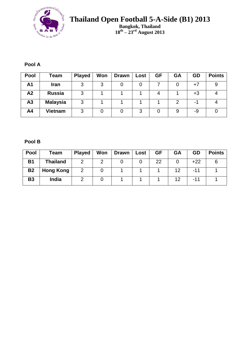

**Bangkok, Thailand 18th – 23rd August 2013**

#### **Pool A**

| Pool           | Team            | <b>Played</b> | Won | <b>Drawn</b> | Lost | <b>GF</b> | GA | GD   | <b>Points</b> |
|----------------|-----------------|---------------|-----|--------------|------|-----------|----|------|---------------|
| A1             | <b>Iran</b>     | 3             | 3   |              |      |           |    | +7   |               |
| A2             | <b>Russia</b>   | 3             |     |              |      |           |    | $+3$ |               |
| A3             | <b>Malaysia</b> | 3             |     |              |      |           | ◠  | -    |               |
| A <sub>4</sub> | <b>Vietnam</b>  | 3             |     |              | 3    |           |    | -9   |               |

#### **Pool B**

| Pool      | Team             | <b>Played</b> | Won | Drawn | Lost | GF | GA | <b>GD</b> | <b>Points</b> |
|-----------|------------------|---------------|-----|-------|------|----|----|-----------|---------------|
| <b>B1</b> | <b>Thailand</b>  |               |     |       |      | 22 |    | $+22$     |               |
| <b>B2</b> | <b>Hong Kong</b> |               |     |       |      |    | 12 | -11       |               |
| <b>B3</b> | India            |               |     |       |      |    | 12 | -11       |               |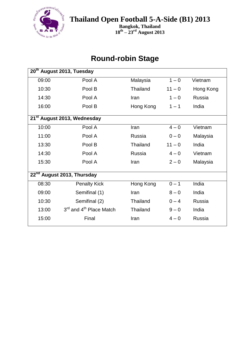

**Bangkok, Thailand 18th – 23rd August 2013**

#### **Round-robin Stage**

| 20 <sup>th</sup> August 2013, Tuesday  |                                                 |                 |          |           |  |
|----------------------------------------|-------------------------------------------------|-----------------|----------|-----------|--|
| 09:00                                  | Pool A                                          | Malaysia        | $1 - 0$  | Vietnam   |  |
| 10:30                                  | Pool B                                          | <b>Thailand</b> | $11 - 0$ | Hong Kong |  |
| 14:30                                  | Pool A                                          | Iran            | $1 - 0$  | Russia    |  |
| 16:00                                  | Pool B                                          | Hong Kong       | $1 - 1$  | India     |  |
|                                        | 21 <sup>st</sup> August 2013, Wednesday         |                 |          |           |  |
| 10:00                                  | Pool A                                          | Iran            | $4 - 0$  | Vietnam   |  |
| 11:00                                  | Pool A                                          | Russia          | $0 - 0$  | Malaysia  |  |
| 13:30                                  | Pool B                                          | <b>Thailand</b> | $11 - 0$ | India     |  |
| 14:30                                  | Pool A                                          | Russia          | $4 - 0$  | Vietnam   |  |
| 15:30                                  | Pool A                                          | Iran            | $2 - 0$  | Malaysia  |  |
| 22 <sup>nd</sup> August 2013, Thursday |                                                 |                 |          |           |  |
| 08:30                                  | <b>Penalty Kick</b>                             | Hong Kong       | $0 - 1$  | India     |  |
| 09:00                                  | Semifinal (1)                                   | Iran            | $8 - 0$  | India     |  |
| 10:30                                  | Semifinal (2)                                   | <b>Thailand</b> | $0 - 4$  | Russia    |  |
| 13:00                                  | 3 <sup>rd</sup> and 4 <sup>th</sup> Place Match | Thailand        | $9 - 0$  | India     |  |
| 15:00                                  | Final                                           | Iran            | $4 - 0$  | Russia    |  |